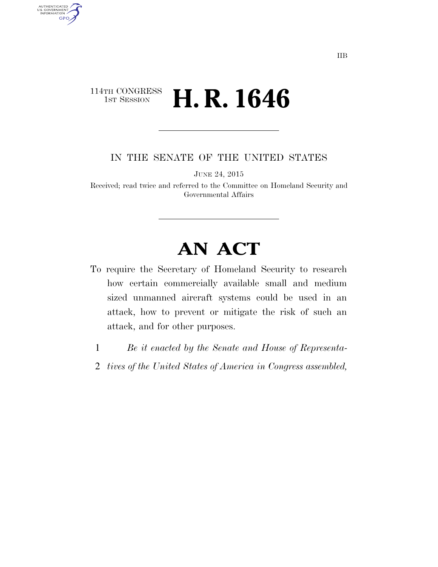## 114TH CONGRESS **1st Session H. R. 1646**

AUTHENTICATED<br>U.S. GOVERNMENT<br>INFORMATION GPO

IN THE SENATE OF THE UNITED STATES

JUNE 24, 2015

Received; read twice and referred to the Committee on Homeland Security and Governmental Affairs

## **AN ACT**

- To require the Secretary of Homeland Security to research how certain commercially available small and medium sized unmanned aircraft systems could be used in an attack, how to prevent or mitigate the risk of such an attack, and for other purposes.
	- 1 *Be it enacted by the Senate and House of Representa-*
	- 2 *tives of the United States of America in Congress assembled,*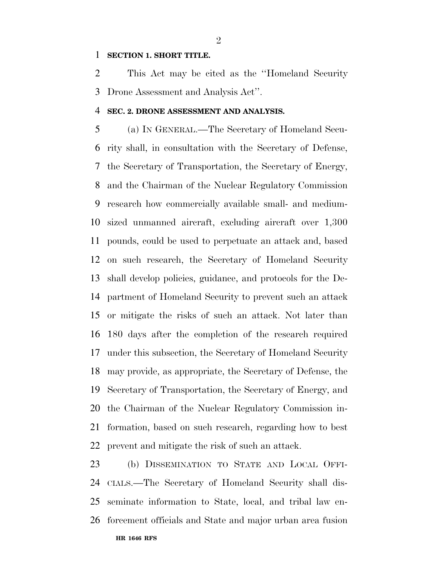## **SECTION 1. SHORT TITLE.**

 This Act may be cited as the ''Homeland Security Drone Assessment and Analysis Act''.

## **SEC. 2. DRONE ASSESSMENT AND ANALYSIS.**

 (a) IN GENERAL.—The Secretary of Homeland Secu- rity shall, in consultation with the Secretary of Defense, the Secretary of Transportation, the Secretary of Energy, and the Chairman of the Nuclear Regulatory Commission research how commercially available small- and medium- sized unmanned aircraft, excluding aircraft over 1,300 pounds, could be used to perpetuate an attack and, based on such research, the Secretary of Homeland Security shall develop policies, guidance, and protocols for the De- partment of Homeland Security to prevent such an attack or mitigate the risks of such an attack. Not later than 180 days after the completion of the research required under this subsection, the Secretary of Homeland Security may provide, as appropriate, the Secretary of Defense, the Secretary of Transportation, the Secretary of Energy, and the Chairman of the Nuclear Regulatory Commission in- formation, based on such research, regarding how to best prevent and mitigate the risk of such an attack.

**HR 1646 RFS** (b) DISSEMINATION TO STATE AND LOCAL OFFI- CIALS.—The Secretary of Homeland Security shall dis- seminate information to State, local, and tribal law en-forcement officials and State and major urban area fusion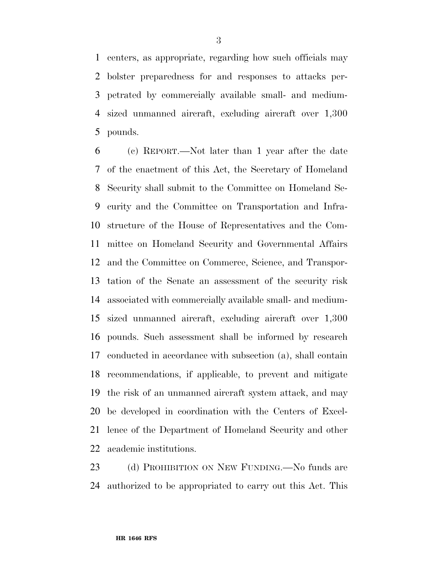centers, as appropriate, regarding how such officials may bolster preparedness for and responses to attacks per- petrated by commercially available small- and medium- sized unmanned aircraft, excluding aircraft over 1,300 pounds.

 (c) REPORT.—Not later than 1 year after the date of the enactment of this Act, the Secretary of Homeland Security shall submit to the Committee on Homeland Se- curity and the Committee on Transportation and Infra- structure of the House of Representatives and the Com- mittee on Homeland Security and Governmental Affairs and the Committee on Commerce, Science, and Transpor- tation of the Senate an assessment of the security risk associated with commercially available small- and medium- sized unmanned aircraft, excluding aircraft over 1,300 pounds. Such assessment shall be informed by research conducted in accordance with subsection (a), shall contain recommendations, if applicable, to prevent and mitigate the risk of an unmanned aircraft system attack, and may be developed in coordination with the Centers of Excel- lence of the Department of Homeland Security and other academic institutions.

23 (d) PROHIBITION ON NEW FUNDING.—No funds are authorized to be appropriated to carry out this Act. This